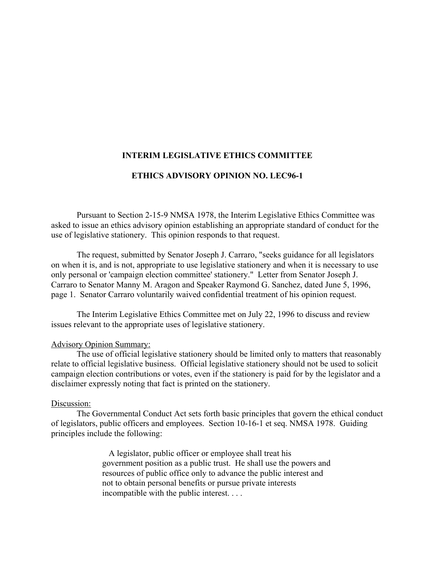## **INTERIM LEGISLATIVE ETHICS COMMITTEE**

## **ETHICS ADVISORY OPINION NO. LEC96-1**

Pursuant to Section 2-15-9 NMSA 1978, the Interim Legislative Ethics Committee was asked to issue an ethics advisory opinion establishing an appropriate standard of conduct for the use of legislative stationery. This opinion responds to that request.

The request, submitted by Senator Joseph J. Carraro, "seeks guidance for all legislators on when it is, and is not, appropriate to use legislative stationery and when it is necessary to use only personal or 'campaign election committee' stationery." Letter from Senator Joseph J. Carraro to Senator Manny M. Aragon and Speaker Raymond G. Sanchez, dated June 5, 1996, page 1. Senator Carraro voluntarily waived confidential treatment of his opinion request.

The Interim Legislative Ethics Committee met on July 22, 1996 to discuss and review issues relevant to the appropriate uses of legislative stationery.

## Advisory Opinion Summary:

The use of official legislative stationery should be limited only to matters that reasonably relate to official legislative business. Official legislative stationery should not be used to solicit campaign election contributions or votes, even if the stationery is paid for by the legislator and a disclaimer expressly noting that fact is printed on the stationery.

## Discussion:

The Governmental Conduct Act sets forth basic principles that govern the ethical conduct of legislators, public officers and employees. Section 10-16-1 et seq. NMSA 1978. Guiding principles include the following:

> A legislator, public officer or employee shall treat his government position as a public trust. He shall use the powers and resources of public office only to advance the public interest and not to obtain personal benefits or pursue private interests incompatible with the public interest. . . .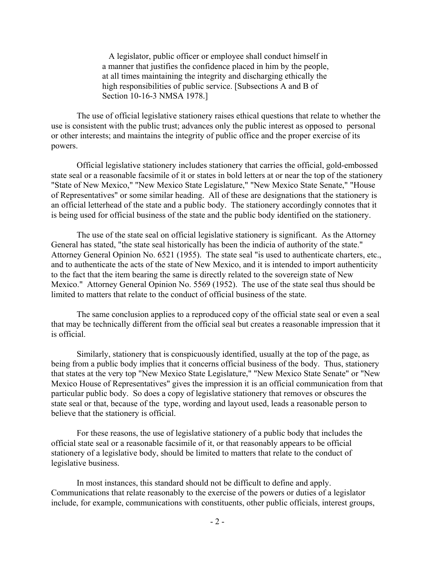A legislator, public officer or employee shall conduct himself in a manner that justifies the confidence placed in him by the people, at all times maintaining the integrity and discharging ethically the high responsibilities of public service. [Subsections A and B of Section 10-16-3 NMSA 1978.]

The use of official legislative stationery raises ethical questions that relate to whether the use is consistent with the public trust; advances only the public interest as opposed to personal or other interests; and maintains the integrity of public office and the proper exercise of its powers.

Official legislative stationery includes stationery that carries the official, gold-embossed state seal or a reasonable facsimile of it or states in bold letters at or near the top of the stationery "State of New Mexico," "New Mexico State Legislature," "New Mexico State Senate," "House of Representatives" or some similar heading. All of these are designations that the stationery is an official letterhead of the state and a public body. The stationery accordingly connotes that it is being used for official business of the state and the public body identified on the stationery.

The use of the state seal on official legislative stationery is significant. As the Attorney General has stated, "the state seal historically has been the indicia of authority of the state." Attorney General Opinion No. 6521 (1955). The state seal "is used to authenticate charters, etc., and to authenticate the acts of the state of New Mexico, and it is intended to import authenticity to the fact that the item bearing the same is directly related to the sovereign state of New Mexico." Attorney General Opinion No. 5569 (1952). The use of the state seal thus should be limited to matters that relate to the conduct of official business of the state.

The same conclusion applies to a reproduced copy of the official state seal or even a seal that may be technically different from the official seal but creates a reasonable impression that it is official.

Similarly, stationery that is conspicuously identified, usually at the top of the page, as being from a public body implies that it concerns official business of the body. Thus, stationery that states at the very top "New Mexico State Legislature," "New Mexico State Senate" or "New Mexico House of Representatives" gives the impression it is an official communication from that particular public body. So does a copy of legislative stationery that removes or obscures the state seal or that, because of the type, wording and layout used, leads a reasonable person to believe that the stationery is official.

For these reasons, the use of legislative stationery of a public body that includes the official state seal or a reasonable facsimile of it, or that reasonably appears to be official stationery of a legislative body, should be limited to matters that relate to the conduct of legislative business.

In most instances, this standard should not be difficult to define and apply. Communications that relate reasonably to the exercise of the powers or duties of a legislator include, for example, communications with constituents, other public officials, interest groups,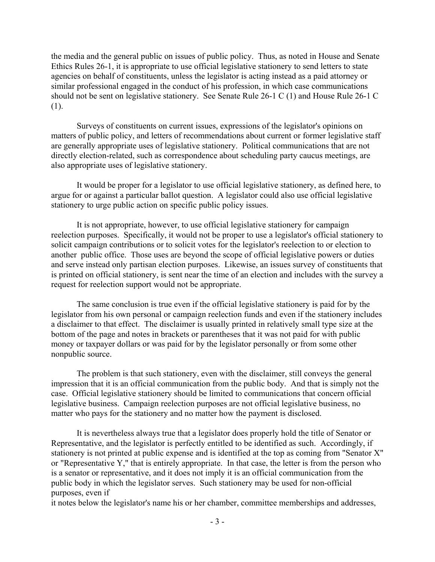the media and the general public on issues of public policy. Thus, as noted in House and Senate Ethics Rules 26-1, it is appropriate to use official legislative stationery to send letters to state agencies on behalf of constituents, unless the legislator is acting instead as a paid attorney or similar professional engaged in the conduct of his profession, in which case communications should not be sent on legislative stationery. See Senate Rule 26-1 C (1) and House Rule 26-1 C (1).

Surveys of constituents on current issues, expressions of the legislator's opinions on matters of public policy, and letters of recommendations about current or former legislative staff are generally appropriate uses of legislative stationery. Political communications that are not directly election-related, such as correspondence about scheduling party caucus meetings, are also appropriate uses of legislative stationery.

It would be proper for a legislator to use official legislative stationery, as defined here, to argue for or against a particular ballot question. A legislator could also use official legislative stationery to urge public action on specific public policy issues.

It is not appropriate, however, to use official legislative stationery for campaign reelection purposes. Specifically, it would not be proper to use a legislator's official stationery to solicit campaign contributions or to solicit votes for the legislator's reelection to or election to another public office. Those uses are beyond the scope of official legislative powers or duties and serve instead only partisan election purposes. Likewise, an issues survey of constituents that is printed on official stationery, is sent near the time of an election and includes with the survey a request for reelection support would not be appropriate.

The same conclusion is true even if the official legislative stationery is paid for by the legislator from his own personal or campaign reelection funds and even if the stationery includes a disclaimer to that effect. The disclaimer is usually printed in relatively small type size at the bottom of the page and notes in brackets or parentheses that it was not paid for with public money or taxpayer dollars or was paid for by the legislator personally or from some other nonpublic source.

The problem is that such stationery, even with the disclaimer, still conveys the general impression that it is an official communication from the public body. And that is simply not the case. Official legislative stationery should be limited to communications that concern official legislative business. Campaign reelection purposes are not official legislative business, no matter who pays for the stationery and no matter how the payment is disclosed.

It is nevertheless always true that a legislator does properly hold the title of Senator or Representative, and the legislator is perfectly entitled to be identified as such. Accordingly, if stationery is not printed at public expense and is identified at the top as coming from "Senator X" or "Representative Y," that is entirely appropriate. In that case, the letter is from the person who is a senator or representative, and it does not imply it is an official communication from the public body in which the legislator serves. Such stationery may be used for non-official purposes, even if

it notes below the legislator's name his or her chamber, committee memberships and addresses,